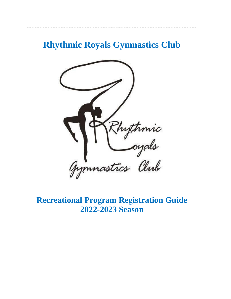# **Rhythmic Royals Gymnastics Club**



**Recreational Program Registration Guide 2022-2023 Season**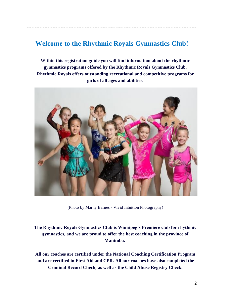### **Welcome to the Rhythmic Royals Gymnastics Club!**

**Within this registration guide you will find information about the rhythmic gymnastics programs offered by the Rhythmic Royals Gymnastics Club. Rhythmic Royals offers outstanding recreational and competitive programs for girls of all ages and abilities.**



(Photo by Marny Barnes - Vivid Intuition Photography)

**The Rhythmic Royals Gymnastics Club is Winnipeg's Premiere club for rhythmic gymnastics, and we are proud to offer the best coaching in the province of Manitoba.**

**All our coaches are certified under the National Coaching Certification Program and are certified in First Aid and CPR. All our coaches have also completed the Criminal Record Check, as well as the Child Abuse Registry Check.**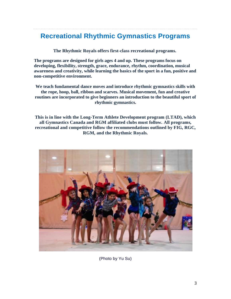### **Recreational Rhythmic Gymnastics Programs**

**The Rhythmic Royals offers first-class recreational programs.**

**The programs are designed for girls ages 4 and up. These programs focus on developing, flexibility, strength, grace, endurance, rhythm, coordination, musical awareness and creativity, while learning the basics of the sport in a fun, positive and non-competitive environment.**

**We teach fundamental dance moves and introduce rhythmic gymnastics skills with the rope, hoop, ball, ribbon and scarves. Musical movement, fun and creative routines are incorporated to give beginners an introduction to the beautiful sport of rhythmic gymnastics.**

**This is in line with the Long-Term Athlete Development program (LTAD), which all Gymnastics Canada and RGM affiliated clubs must follow. All programs, recreational and competitive follow the recommendations outlined by FIG, RGC, RGM, and the Rhythmic Royals.**



(Photo by Yu Su)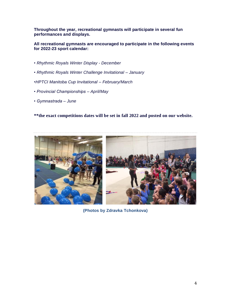**Throughout the year, recreational gymnasts will participate in several fun performances and displays.**

**All recreational gymnasts are encouraged to participate in the following events for 2022-23 sport calendar:**

- *Rhythmic Royals Winter Display - December*
- *• Rhythmic Royals Winter Challenge Invitational – January*
- *•HPTCI Manitoba Cup Invitational – February/March*
- *Provincial Championships – April/May*
- *Gymnastrada – June*

**\*\*the exact competitions dates will be set in fall 2022 and posted on our website.**



**(Photos by Zdravka Tchonkova)**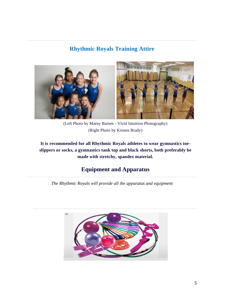### **Rhythmic Royals Training Attire**



(Left Photo by Marny Barnes - Vivid Intuition Photography) (Right Photo by Kristen Brady)

**It is recommended for all Rhythmic Royals athletes to wear gymnastics toeslippers or socks, a gymnastics tank top and black shorts, both preferably be made with stretchy, spandex material.** 

### **Equipment and Apparatus**

*The Rhythmic Royals will provide all the apparatus and equipment*

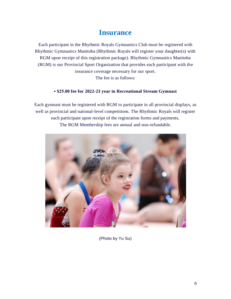### **Insurance**

Each participant in the Rhythmic Royals Gymnastics Club must be registered with Rhythmic Gymnastics Manitoba (Rhythmic Royals will register your daughter(s) with RGM upon receipt of this registration package). Rhythmic Gymnastics Manitoba (RGM) is our Provincial Sport Organization that provides each participant with the insurance coverage necessary for our sport. The fee is as follows:

#### **• \$25.00 fee for 2022-23 year in Recreational Stream Gymnast**

Each gymnast must be registered with RGM to participate in all provincial displays, as well as provincial and national-level competitions. The Rhythmic Royals will register each participant upon receipt of the registration forms and payments. The RGM Membership fees are annual and non-refundable.



(Photo by Yu Su)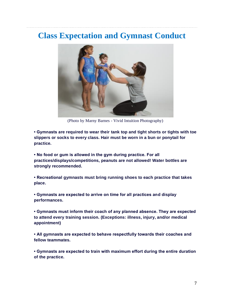# **Class Expectation and Gymnast Conduct**



(Photo by Marny Barnes - Vivid Intuition Photography)

**• Gymnasts are required to wear their tank top and tight shorts or tights with toe slippers or socks to every class. Hair must be worn in a bun or ponytail for practice.** 

**• No food or gum is allowed in the gym during practice. For all practices/displays/competitions, peanuts are not allowed! Water bottles are strongly recommended.**

**• Recreational gymnasts must bring running shoes to each practice that takes place.**

**• Gymnasts are expected to arrive on time for all practices and display performances.**

**• Gymnasts must inform their coach of any planned absence. They are expected to attend every training session. (Exceptions: illness, injury, and/or medical appointment)**

**• All gymnasts are expected to behave respectfully towards their coaches and fellow teammates.**

**• Gymnasts are expected to train with maximum effort during the entire duration of the practice.**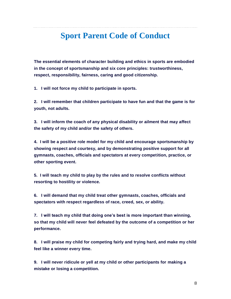# **Sport Parent Code of Conduct**

**The essential elements of character building and ethics in sports are embodied in the concept of sportsmanship and six core principles: trustworthiness, respect, responsibility, fairness, caring and good citizenship.**

**1. I will not force my child to participate in sports.**

**2. I will remember that children participate to have fun and that the game is for youth, not adults.**

**3. I will inform the coach of any physical disability or ailment that may affect the safety of my child and/or the safety of others.**

**4. I will be a positive role model for my child and encourage sportsmanship by showing respect and courtesy, and by demonstrating positive support for all gymnasts, coaches, officials and spectators at every competition, practice, or other sporting event.**

**5. I will teach my child to play by the rules and to resolve conflicts without resorting to hostility or violence.**

**6. I will demand that my child treat other gymnasts, coaches, officials and spectators with respect regardless of race, creed, sex, or ability.**

**7. I will teach my child that doing one's best is more important than winning, so that my child will never feel defeated by the outcome of a competition or her performance.**

**8. I will praise my child for competing fairly and trying hard, and make my child feel like a winner every time.**

**9. I will never ridicule or yell at my child or other participants for making a mistake or losing a competition.**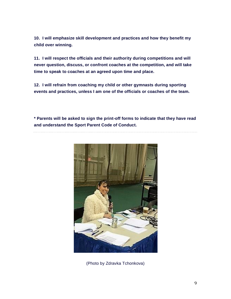**10. I will emphasize skill development and practices and how they benefit my child over winning.**

**11. I will respect the officials and their authority during competitions and will never question, discuss, or confront coaches at the competition, and will take time to speak to coaches at an agreed upon time and place.**

**12. I will refrain from coaching my child or other gymnasts during sporting events and practices, unless I am one of the officials or coaches of the team.**

**\* Parents will be asked to sign the print-off forms to indicate that they have read and understand the Sport Parent Code of Conduct.**



(Photo by Zdravka Tchonkova)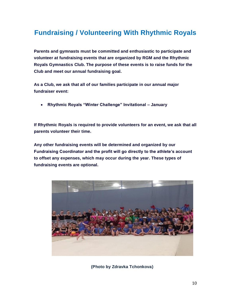# **Fundraising / Volunteering With Rhythmic Royals**

**Parents and gymnasts must be committed and enthusiastic to participate and volunteer at fundraising events that are organized by RGM and the Rhythmic Royals Gymnastics Club. The purpose of these events is to raise funds for the Club and meet our annual fundraising goal.**

**As a Club, we ask that all of our families participate in our annual major fundraiser event:**

• **Rhythmic Royals "Winter Challenge" Invitational – January** 

**If Rhythmic Royals is required to provide volunteers for an event, we ask that all parents volunteer their time.**

**Any other fundraising events will be determined and organized by our Fundraising Coordinator and the profit will go directly to the athlete's account to offset any expenses, which may occur during the year. These types of fundraising events are optional.**



**(Photo by Zdravka Tchonkova)**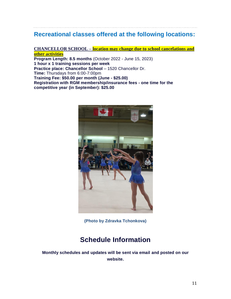### **Recreational classes offered at the following locations:**

**CHANCELLOR SCHOOL – location may change due to school cancelations and other activities Program Length: 8.5 months** (October 2022 - June 15, 2023) **1 hour x 1 training sessions per week Practice place: Chancellor School** – 1520 Chancellor Dr. **Time:** Thursdays from 6:00-7:00pm **Training Fee: \$50.00 per month (June - \$25.00) Registration with RGM membership/insurance fees - one time for the competitive year (in September): \$25.00**



**(Photo by Zdravka Tchonkova)**

### **Schedule Information**

**Monthly schedules and updates will be sent via email and posted on our website.**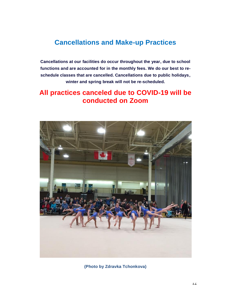### **Cancellations and Make-up Practices**

**Cancellations at our facilities do occur throughout the year, due to school functions and are accounted for in the monthly fees. We do our best to reschedule classes that are cancelled. Cancellations due to public holidays, winter and spring break will not be re-scheduled.**

### **All practices canceled due to COVID-19 will be conducted on Zoom**



**(Photo by Zdravka Tchonkova)**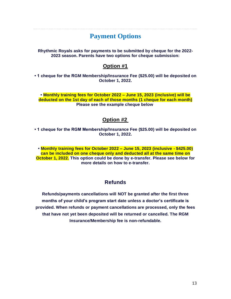### **Payment Options**

**Rhythmic Royals asks for payments to be submitted by cheque for the 2022- 2023 season. Parents have two options for cheque submission:**

#### **Option #1**

**• 1 cheque for the RGM Membership/Insurance Fee (\$25.00) will be deposited on October 1, 2022.** 

**• Monthly training fees for October 2022 – June 15, 2023 (inclusive) will be deducted on the 1st day of each of those months (1 cheque for each month) Please see the example cheque below**

#### **Option #2**

**• 1 cheque for the RGM Membership/Insurance Fee (\$25.00) will be deposited on October 1, 2022.** 

**• Monthly training fees for October 2022 – June 15, 2023 (inclusive - \$425.00) can be included on one cheque only and deducted all at the same time on October 1, 2022. This option could be done by e-transfer. Please see below for more details on how to e-transfer.**

#### **Refunds**

**Refunds/payments cancellations will NOT be granted after the first three months of your child's program start date unless a doctor's certificate is provided. When refunds or payment cancellations are processed, only the fees that have not yet been deposited will be returned or cancelled. The RGM Insurance/Membership fee is non-refundable.**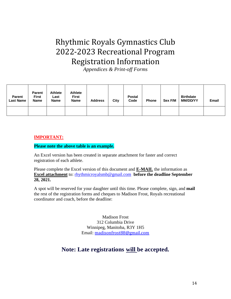# Rhythmic Royals Gymnastics Club 2022-2023 Recreational Program Registration Information

*Appendices & Print-off Forms*

| <b>Parent</b><br><b>Last Name</b> | <b>Parent</b><br><b>First</b><br><b>Name</b> | <b>Athlete</b><br>Last<br><b>Name</b> | <b>Athlete</b><br><b>First</b><br><b>Name</b> | <b>Address</b> | City | <b>Postal</b><br>Code | <b>Phone</b> | Sex F/M | <b>Birthdate</b><br><b>MM/DD/YY</b> | Email |
|-----------------------------------|----------------------------------------------|---------------------------------------|-----------------------------------------------|----------------|------|-----------------------|--------------|---------|-------------------------------------|-------|
|                                   |                                              |                                       |                                               |                |      |                       |              |         |                                     |       |

#### **IMPORTANT:**

#### **Please note the above table is an example.**

An Excel version has been created in separate attachment for faster and correct registration of each athlete.

Please complete the Excel version of this document and **E-MAIL** the information as **Excel attachment** to: [rhythmicroyalsmb@gmail.com](mailto:rhythmicroyalsmb@gmail.com) **before the deadline September 28, 2021.**

A spot will be reserved for your daughter until this time. Please complete, sign, and **mail** the rest of the registration forms and cheques to Madison Frost, Royals recreational coordinator and coach, before the deadline:

> Madison Frost 312 Columbia Drive Winnipeg, Manitoba, R3Y 1H5 Email: [madisonfrost88@gmail.com](mailto:madisonfrost88@gmail.com)

### **Note: Late registrations will be accepted.**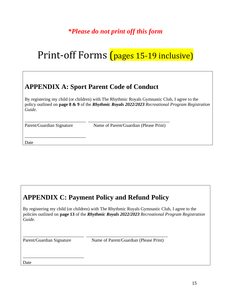## *\*Please do not print off this form*

# Print-off Forms (pages 15-19 inclusive)

# **APPENDIX A: Sport Parent Code of Conduct**

\_\_\_\_\_\_\_\_\_\_\_\_\_\_\_\_\_\_\_\_\_\_\_\_\_\_\_ \_\_\_\_\_\_\_\_\_\_\_\_\_\_\_\_\_\_\_\_\_\_\_\_\_\_\_\_\_\_\_\_\_\_\_\_

By registering my child (or children) with The Rhythmic Royals Gymnastic Club, I agree to the policy outlined on **page 8 & 9** of the *Rhythmic Royals 2022/2023 Recreational Program Registration Guide*.

\_\_\_\_\_\_\_\_\_\_\_\_\_\_\_\_\_\_\_\_\_\_\_\_\_\_\_

Parent/Guardian Signature Name of Parent/Guardian (Please Print)

Date

# **APPENDIX C: Payment Policy and Refund Policy**

\_\_\_\_\_\_\_\_\_\_\_\_\_\_\_\_\_\_\_\_\_\_\_\_\_\_\_ \_\_\_\_\_\_\_\_\_\_\_\_\_\_\_\_\_\_\_\_\_\_\_\_\_\_\_\_\_\_\_\_\_\_\_\_

By registering my child (or children) with The Rhythmic Royals Gymnastic Club, I agree to the policies outlined on **page 13** of the *Rhythmic Royals 2022/2023 Recreational Program Registration Guide*.

\_\_\_\_\_\_\_\_\_\_\_\_\_\_\_\_\_\_\_\_\_\_\_\_\_\_\_

Parent/Guardian Signature Name of Parent/Guardian (Please Print)

Date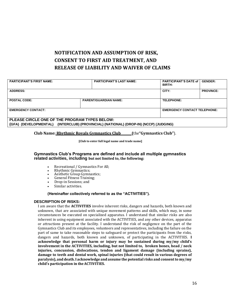### **NOTIFICATION AND ASSUMPTION OF RISK, CONSENT TO FIRST AID TREATMENT, AND RELEASE OF LIABILITY AND WAIVER OF CLAIMS**

| <b>PARTICIPANT'S FIRST NAME:</b>                                                     | <b>PARTICIPANT'S LAST NAME:</b> | <b>PARTICIPANT'S DATE of  </b><br><b>BIRTH:</b> | <b>GENDER:</b>   |  |  |  |
|--------------------------------------------------------------------------------------|---------------------------------|-------------------------------------------------|------------------|--|--|--|
| <b>ADDRESS:</b>                                                                      |                                 | CITY:                                           | <b>PROVINCE:</b> |  |  |  |
| <b>POSTAL CODE:</b>                                                                  | <b>PARENT/GUARDIAN NAME:</b>    | <b>TELEPHONE:</b>                               |                  |  |  |  |
| <b>EMERGENCY CONTACT:</b>                                                            |                                 | <b>EMERGENCY CONTACT TELEPHONE:</b>             |                  |  |  |  |
| PLEASE CIRCLE ONE OF THE PROGRAM TYPES BELOW:                                        |                                 |                                                 |                  |  |  |  |
| (GFA) (DEVELOPMENTAL) (INTERCLUB) (PROVINCIAL) (NATIONAL) (DROP-IN) (NCCP) (JUDGING) |                                 |                                                 |                  |  |  |  |

**Club Name: Rhythmic Royals Gymnastics Club (**the**"Gymnastics Club"**).

**[Club to enter full legal name and trade name]**

#### **Gymnastics Club's Programs are defined and include all multiple gymnastics related activities, including but not limited to, the following:**

- Recreational / Gymnastics For All;
- Rhythmic Gymnastics;
- Aesthetic Group Gymnastics;
- General Fitness Training;
- Drop-in Sessions; and
- Similar activities.

#### **(Hereinafter collectively referred to as the "ACTIVITIES").**

#### **DESCRIPTION OF RISKS:**

I am aware that the **ACTIVITIES** involve inherent risks, dangers and hazards, both known and unknown, that are associated with unique movement patterns and skills, which may, in some circumstances be executed on specialized apparatus. I understand that similar risks are also inherent in using equipment associated with the ACTIVITIES, and any other devices, apparatus or attractions present at the facility. I understand the risk of negligence on the part of the Gymnastics Club and its employees, volunteers and representatives, including the failure on the part of same to take reasonable steps to safeguard or protect the participants from the risks, dangers and hazards, both known and unknown, of participating in the ACTIVITIES. **I acknowledge that personal harm or injury may be sustained during my/my child's involvement in the ACTIVITIES, including, but not limited to, broken bones, head / neck injuries, concussion, dislocations, tendon and ligament damage (including sprains), damage to teeth and dental work, spinal injuries (that could result in various degrees of paralysis),anddeath.I acknowledge and assume the potential risks and consent to my/my child's participation in theACTIVITIES.**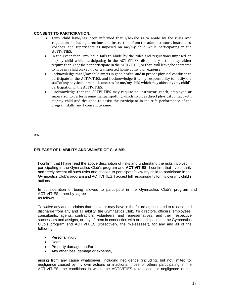#### **CONSENT TO PARTICIPATION:**

- I/my child have/has been informed that I/he/she is to abide by the rules and regulations including directions and instructions from the administrators, instructors, coaches, and supervisors as imposed on me/my child while participating in the **ACTIVITIES**
- In the event that I/my child fails to abide by the rules and regulations imposed on me/my child while participating in the ACTIVITIES, disciplinary action may either require that I/he/she not participate in the ACTIVITIES, or that I will leave/be contacted to have my child picked up or transported home at my own expense.
- I acknowledge that I/my child am/is in good health, and in proper physical condition to participate in the ACTIVITIES, and I acknowledge it is my responsibility to notify the staff of any physical or mental concerns for me/my child which may affect my/my child's participation in the ACTIVITIES.
- I acknowledge that the ACTIVITIES may require an instructor, coach, employee or supervisor to perform some manual spotting which involves direct physical contact with me/my child and designed to assist the participant in the safe performance of the program skills, and I consent to same.

Date:

#### **RELEASE OF LIABILITY AND WAIVER OF CLAIMS:**

I confirm that I have read the above description of risks and understand the risks involved in participating in the Gymnastics Club's program and **ACTIVITIES.** I confirm that I voluntarily and freely accept all such risks and choose to participate/allow my child to participate in the Gymnastics Club's program and ACTIVITIES. I accept full responsibility for my own/my child's actions.

In consideration of being allowed to participate in the Gymnastics Club's program and ACTIVITIES, I hereby agree as follows:

To waive any and all claims that I have or may have in the future against, and to release and discharge from any and all liability, the Gymnastics Club, it's directors, officers, employees, consultants, agents, contractors, volunteers, and representatives, and their respective successors and assigns, or any of them in connection with or participation in the Gymnastics Club's program and ACTIVITIES (collectively, the "Releasees"), for any and all of the following:

- Personal injury:
- Death;
- Property damage; and/or
- Any other loss, damage or expense,

arising from any cause whatsoever, including negligence (including, but not limited to, negligence caused by my own actions or inactions, those of others participating in the ACTIVITIES, the conditions in which the ACTIVITIES take place, or negligence of the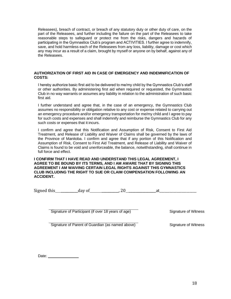Releasees), breach of contract, or breach of any statutory duty or other duty of care, on the part of the Releasees, and further including the failure on the part of the Releasees to take reasonable steps to safeguard or protect me from the risks, dangers and hazards of participating in the Gymnastics Club's program and ACTIVITIES. I further agree to indemnify, save, and hold harmless each of the Releasees from any loss, liability, damage or cost which any may incur as a result of a claim, brought by myself or anyone on by behalf, against any of the Releasees.

#### **AUTHORIZATION OF FIRST AID IN CASE OF EMERGENCY AND INDEMNIFICATION OF COSTS:**

I hereby authorize basic first aid to be delivered to me/my child by the Gymnastics Club's staff or other authorities. By administering first aid when required or requested, the Gymnastics Club in no way warrants or assumes any liability in relation to the administration of such basic first aid.

I further understand and agree that, in the case of an emergency, the Gymnastics Club assumes no responsibility or obligation relative to any cost or expense related to carrying out an emergency procedure and/or emergency transportation for me/my child and I agree to pay for such costs and expenses and shall indemnify and reimburse the Gymnastics Club for any such costs or expenses that it incurs.

I confirm and agree that this Notification and Assumption of Risk, Consent to First Aid Treatment, and Release of Liability and Waiver of Claims shall be governed by the laws of the Province of Manitoba. I confirm and agree that if any portion of this Notification and Assumption of Risk, Consent to First Aid Treatment, and Release of Liability and Waiver of Claims is found to be void and unenforceable, the balance, notwithstanding, shall continue in full force and effect.

**I CONFIRM THAT I HAVE READ AND UNDERSTAND THIS LEGAL AGREEMENT, I AGREE TO BE BOUND BY ITS TERMS, AND I AM AWARE THAT BY SIGNING THIS AGREEMENT I AM WAIVING CERTAIN LEGAL RIGHTS AGAINST THIS GYMNASTICS CLUB INCLUDING THE RIGHT TO SUE OR CLAIM COMPENSATION FOLLOWING AN ACCIDENT.**

Signed this \_\_\_\_\_\_\_\_\_\_day of \_\_\_\_\_\_\_\_\_\_, 20 \_\_\_\_\_\_\_\_\_\_\_\_\_\_\_\_at\_\_\_\_\_\_\_\_\_\_\_\_\_\_\_\_\_\_\_\_\_\_

Signature of Participant (if over 18 years of age) Signature of Witness

Signature of Parent of Guardian (as named above) Signature of Witness

Date: <u>\_\_\_\_\_\_\_\_\_\_\_\_\_\_\_\_</u>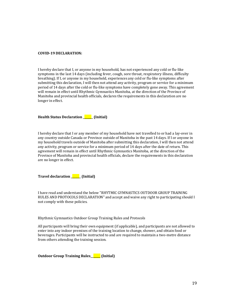#### **COVID-19 DECLARATION:**

I hereby declare that I, or anyone in my household, has not experienced any cold or flu-like symptoms in the last 14 days (including fever, cough, sore throat, respiratory illness, difficulty breathing). If I, or anyone in my household, experiences any cold or flu-like symptoms after submitting this declaration, I will then not attend any activity, program or service for a minimum period of 14 days after the cold or flu-like symptoms have completely gone away. This agreement will remain in effect until Rhythmic Gymnastics Manitoba, at the direction of the Province of Manitoba and provincial health officials, declares the requirements in this declaration are no longer in effect.

**Health Status Declaration \_\_\_\_\_\_\_ (Initial)** 

I hereby declare that I or any member of my household have not travelled to or had a lay-over in any country outside Canada or Province outside of Manitoba in the past 14 days. If I or anyone in my household travels outside of Manitoba after submitting this declaration, I will then not attend any activity, program or service for a minimum period of 14 days after the date of return. This agreement will remain in effect until Rhythmic Gymnastics Manitoba, at the direction of the Province of Manitoba and provincial health officials, declare the requirements in this declaration are no longer in effect.

| <b>Travel declaration</b> | $\overline{\phantom{a}}$ (Initial) |
|---------------------------|------------------------------------|
|---------------------------|------------------------------------|

I have read and understand the below "RHYTMIC GYMNASTICS OUTDOOR GROUP TRAINING RULES AND PROTOCOLS DECLARATION" and accept and waive any right to participating should I not comply with these policies.

Rhythmic Gymnastics Outdoor Group Training Rules and Protocols

All participants will bring their own equipment (if applicable), and participants are not allowed to enter into any indoor premises of the training location to change, shower, and obtain food or beverages. Participants will be instructed to and are required to maintain a two-metre distance from others attending the training session.

**Outdoor Group Training Rules\_\_\_\_\_\_\_ (Initial)**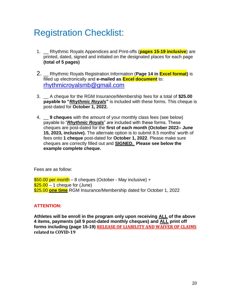# Registration Checklist:

- 1. \_\_ Rhythmic Royals Appendices and Print-offs (**pages 15-19 inclusive**) are printed, dated, signed and initialed on the designated places for each page **(total of 5 pages)**
- 2. \_\_ Rhythmic Royals Registration Information (**Page 14 in Excel format)** is filled up electronically and **e-mailed as Excel document** to: [rhythmicroyalsmb@gmail.com](mailto:rhythmicroyalsmb@gmail.com)
- 3. \_\_ A cheque for the RGM Insurance/Membership fees for a total of **\$25.00 payable to "***Rhythmic Royals***"** is included with these forms. This cheque is post-dated for **October 1, 2022.**
- 4. \_\_ **9 cheques** with the amount of your monthly class fees (see below) payable to "*Rhythmic Royals*" are included with these forms. These cheques are post-dated for the **first of each month (October 2022– June 15, 2023, inclusive).** The alternate option is to submit 8.5 months' worth of fees onto **1 cheque** post-dated for **October 1, 2022**. Please make sure cheques are correctly filled out and **SIGNED. Please see below the example complete cheque.**

Fees are as follow:

\$50.00 per month – 8 cheques (October - May inclusive) +  $$25.00 - 1$  cheque for (June) \$25.00 **one time** RGM Insurance/Membership dated for October 1, 2022

#### **ATTENTION:**

**Athletes will be enroll in the program only upon receiving ALL of the above 4 items, payments (all 9 post-dated monthly cheques) and ALL print off forms including (page 15-19) RELEASE OF LIABILITY AND WAIVER OF CLAIMS related to COVID-19**